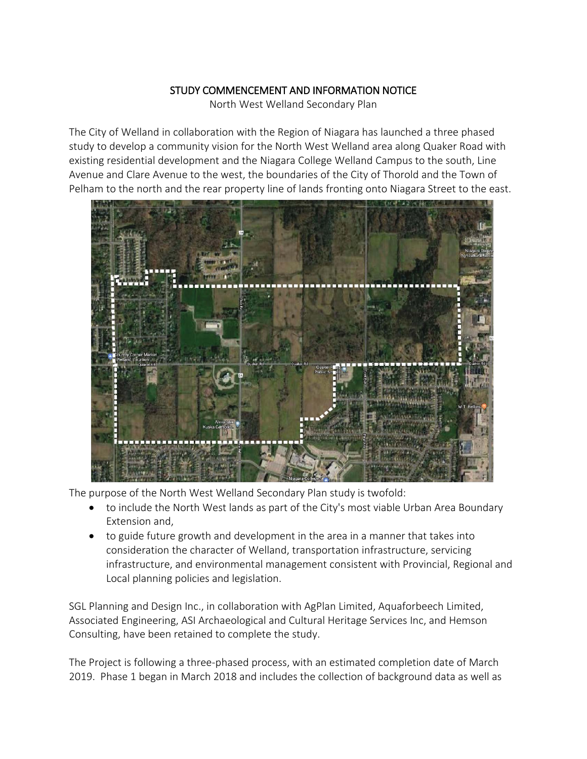## STUDY COMMENCEMENT AND INFORMATION NOTICE

North West Welland Secondary Plan

The City of Welland in collaboration with the Region of Niagara has launched a three phased study to develop a community vision for the North West Welland area along Quaker Road with existing residential development and the Niagara College Welland Campus to the south, Line Avenue and Clare Avenue to the west, the boundaries of the City of Thorold and the Town of Pelham to the north and the rear property line of lands fronting onto Niagara Street to the east.



The purpose of the North West Welland Secondary Plan study is twofold:

- to include the North West lands as part of the City's most viable Urban Area Boundary Extension and,
- to guide future growth and development in the area in a manner that takes into consideration the character of Welland, transportation infrastructure, servicing infrastructure, and environmental management consistent with Provincial, Regional and Local planning policies and legislation.

SGL Planning and Design Inc., in collaboration with AgPlan Limited, Aquaforbeech Limited, Associated Engineering, ASI Archaeological and Cultural Heritage Services Inc, and Hemson Consulting, have been retained to complete the study.

The Project is following a three-phased process, with an estimated completion date of March 2019. Phase 1 began in March 2018 and includes the collection of background data as well as